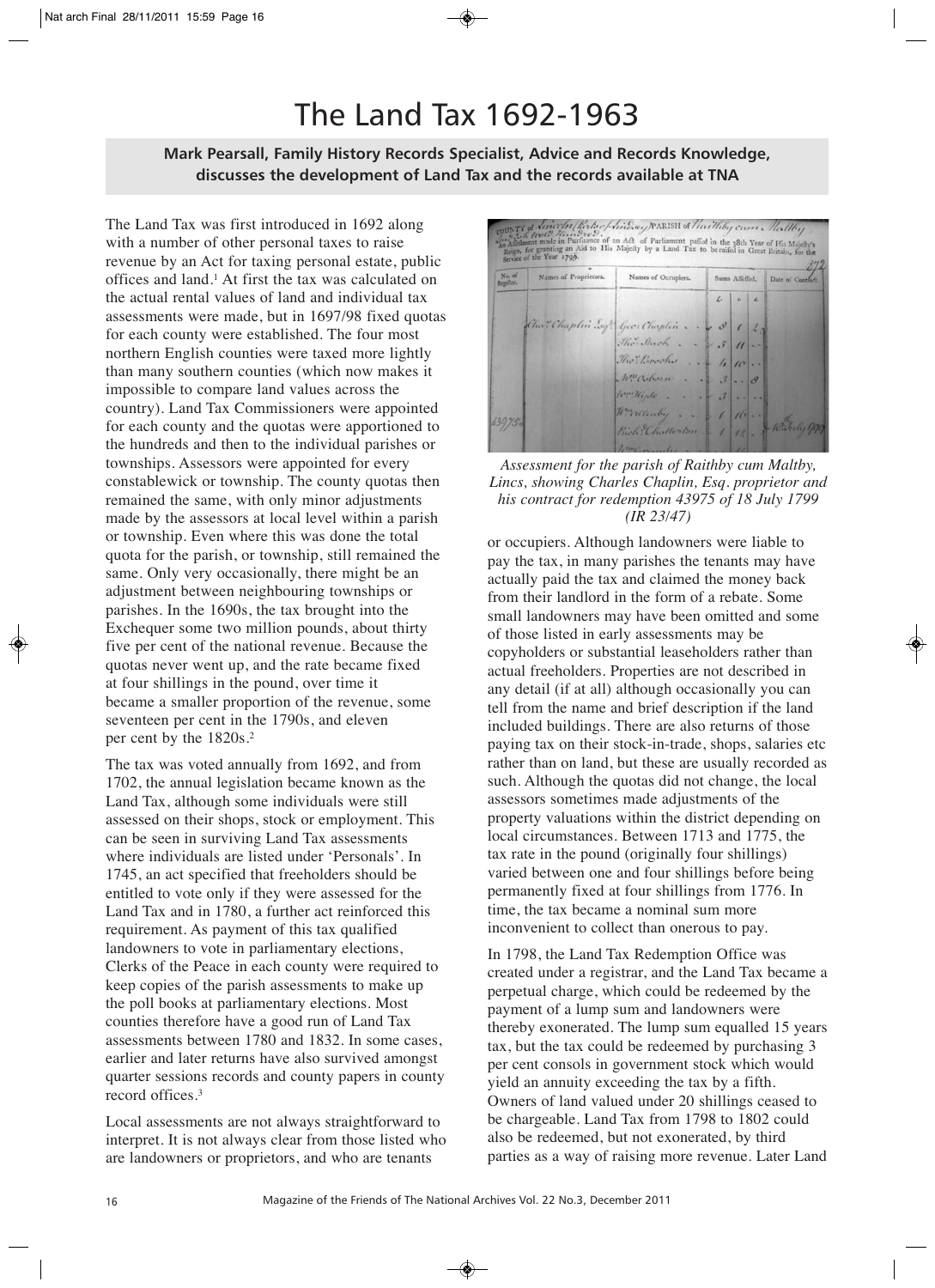## The Land Tax 1692-1963

## **Mark Pearsall, Family History Records Specialist, Advice and Records Knowledge, discusses the development of Land Tax and the records available at TNA**

The Land Tax was first introduced in 1692 along with a number of other personal taxes to raise revenue by an Act for taxing personal estate, public offices and land.1 At first the tax was calculated on the actual rental values of land and individual tax assessments were made, but in 1697/98 fixed quotas for each county were established. The four most northern English counties were taxed more lightly than many southern counties (which now makes it impossible to compare land values across the country). Land Tax Commissioners were appointed for each county and the quotas were apportioned to the hundreds and then to the individual parishes or townships. Assessors were appointed for every constablewick or township. The county quotas then remained the same, with only minor adjustments made by the assessors at local level within a parish or township. Even where this was done the total quota for the parish, or township, still remained the same. Only very occasionally, there might be an adjustment between neighbouring townships or parishes. In the 1690s, the tax brought into the Exchequer some two million pounds, about thirty five per cent of the national revenue. Because the quotas never went up, and the rate became fixed at four shillings in the pound, over time it became a smaller proportion of the revenue, some seventeen per cent in the 1790s, and eleven per cent by the 1820s.2

The tax was voted annually from 1692, and from 1702, the annual legislation became known as the Land Tax, although some individuals were still assessed on their shops, stock or employment. This can be seen in surviving Land Tax assessments where individuals are listed under 'Personals'. In 1745, an act specified that freeholders should be entitled to vote only if they were assessed for the Land Tax and in 1780, a further act reinforced this requirement. As payment of this tax qualified landowners to vote in parliamentary elections, Clerks of the Peace in each county were required to keep copies of the parish assessments to make up the poll books at parliamentary elections. Most counties therefore have a good run of Land Tax assessments between 1780 and 1832. In some cases, earlier and later returns have also survived amongst quarter sessions records and county papers in county record offices.3

Local assessments are not always straightforward to interpret. It is not always clear from those listed who are landowners or proprietors, and who are tenants



*Assessment for the parish of Raithby cum Maltby, Lincs, showing Charles Chaplin, Esq. proprietor and his contract for redemption 43975 of 18 July 1799 (IR 23/47)*

or occupiers. Although landowners were liable to pay the tax, in many parishes the tenants may have actually paid the tax and claimed the money back from their landlord in the form of a rebate. Some small landowners may have been omitted and some of those listed in early assessments may be copyholders or substantial leaseholders rather than actual freeholders. Properties are not described in any detail (if at all) although occasionally you can tell from the name and brief description if the land included buildings. There are also returns of those paying tax on their stock-in-trade, shops, salaries etc rather than on land, but these are usually recorded as such. Although the quotas did not change, the local assessors sometimes made adjustments of the property valuations within the district depending on local circumstances. Between 1713 and 1775, the tax rate in the pound (originally four shillings) varied between one and four shillings before being permanently fixed at four shillings from 1776. In time, the tax became a nominal sum more inconvenient to collect than onerous to pay.

In 1798, the Land Tax Redemption Office was created under a registrar, and the Land Tax became a perpetual charge, which could be redeemed by the payment of a lump sum and landowners were thereby exonerated. The lump sum equalled 15 years tax, but the tax could be redeemed by purchasing 3 per cent consols in government stock which would yield an annuity exceeding the tax by a fifth. Owners of land valued under 20 shillings ceased to be chargeable. Land Tax from 1798 to 1802 could also be redeemed, but not exonerated, by third parties as a way of raising more revenue. Later Land